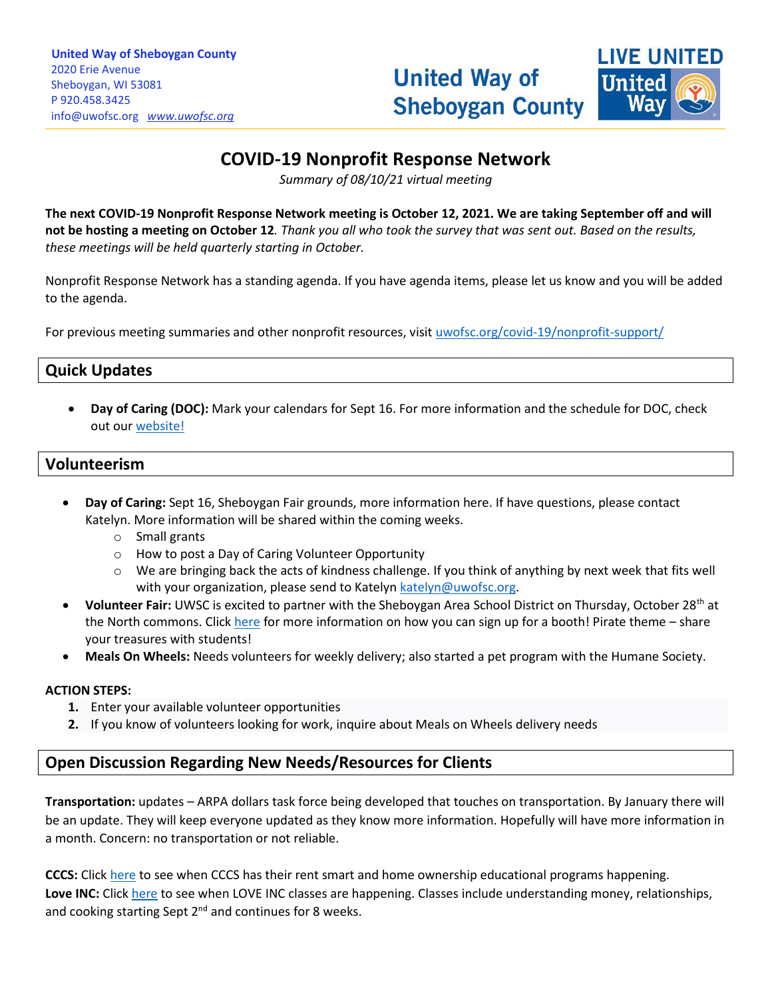

# **COVID-19 Nonprofit Response Network**

*Summary of 08/10/21 virtual meeting*

**The next COVID-19 Nonprofit Response Network meeting is October 12, 2021. We are taking September off and will not be hosting a meeting on October 12***. Thank you all who took the survey that was sent out. Based on the results, these meetings will be held quarterly starting in October.*

Nonprofit Response Network has a standing agenda. If you have agenda items, please let us know and you will be added to the agenda.

For previous meeting summaries and other nonprofit resources, visit [uwofsc.org/covid-19/nonprofit-support/](http://www.uwofsc.org/covid-19/nonprofit-support/)

## **Quick Updates**

• **Day of Caring (DOC):** Mark your calendars for Sept 16. For more information and the schedule for DOC, check out ou[r website!](https://www.uwofsc.org/news-and-events/2021-date-announced/)

### **Volunteerism**

- **Day of Caring:** Sept 16, Sheboygan Fair grounds, more information here. If have questions, please contact Katelyn. More information will be shared within the coming weeks.
	- o Small grants
	- o How to post a Day of Caring Volunteer Opportunity
	- $\circ$  We are bringing back the acts of kindness challenge. If you think of anything by next week that fits well with your organization, please send to Katelyn [katelyn@uwofsc.org.](mailto:katelyn@uwofsc.org)
- **Volunteer Fair:** UWSC is excited to partner with the Sheboygan Area School District on Thursday, October 28th at the North commons. Click [here](https://www.uwofsc.org/news-and-events/all-hands-on-deck-volunteer-fair/) for more information on how you can sign up for a booth! Pirate theme – share your treasures with students!
- **Meals On Wheels:** Needs volunteers for weekly delivery; also started a pet program with the Humane Society.

#### **ACTION STEPS:**

- **1.** Enter your available volunteer opportunities
- **2.** If you know of volunteers looking for work, inquire about Meals on Wheels delivery needs

## **Open Discussion Regarding New Needs/Resources for Clients**

**Transportation:** updates – ARPA dollars task force being developed that touches on transportation. By January there will be an update. They will keep everyone updated as they know more information. Hopefully will have more information in a month. Concern: no transportation or not reliable.

**CCCS:** Click [here](https://cccsonline.org/education/) to see when CCCS has their rent smart and home ownership educational programs happening. **Love INC:** Click [here](https://www.loveincsheboygancounty.org/classes) to see when LOVE INC classes are happening. Classes include understanding money, relationships, and cooking starting Sept  $2^{nd}$  and continues for 8 weeks.